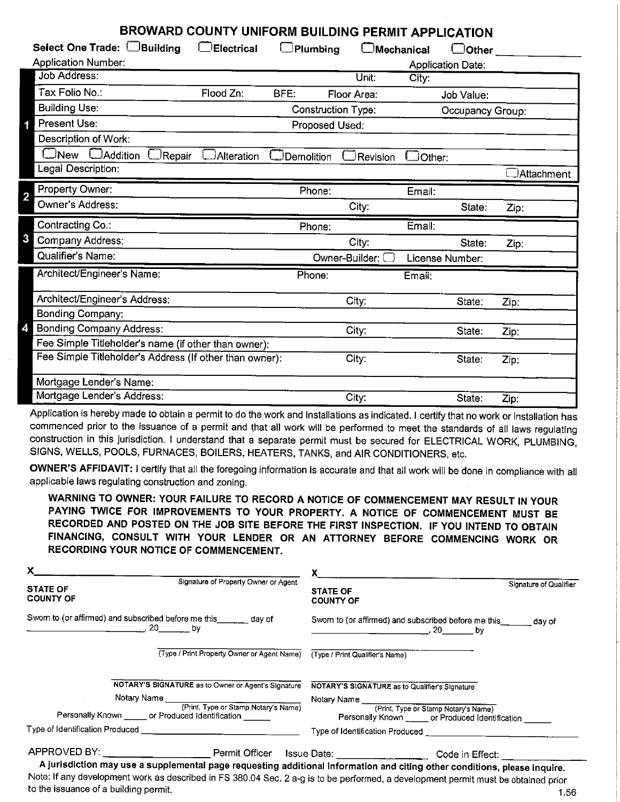## **BROWARD COUNTY UNIFORM BUILDING PERMIT APPLICATION**

| U UNII ONII DOILDING FENIITI AFFLICATION                |                   |                           |                   |               |                          |            |  |  |  |
|---------------------------------------------------------|-------------------|---------------------------|-------------------|---------------|--------------------------|------------|--|--|--|
| Select One Trade: <b>DBuilding</b>                      | $\Box$ Electrical | $\Box$ Plumbing           | $\Box$ Mechanical |               | $\Box$ Other             |            |  |  |  |
| <b>Application Number:</b>                              |                   |                           |                   |               | <b>Application Date:</b> |            |  |  |  |
| <b>Job Address:</b>                                     |                   |                           | Unit:             | City:         |                          |            |  |  |  |
| Tax Folio No.:                                          | Flood Zn:         | BFE:                      | Floor Area:       |               | Job Value:               |            |  |  |  |
| <b>Building Use:</b>                                    |                   | <b>Construction Type:</b> |                   |               | Occupancy Group:         |            |  |  |  |
| Present Use:                                            |                   | Proposed Used:            |                   |               |                          |            |  |  |  |
| Description of Work:                                    |                   |                           |                   |               |                          |            |  |  |  |
| $\square$ New<br><b>DAddition</b><br>$\Box$ Repair      | JAlteration       | Demolition                | Revision          | $\Box$ Other: |                          |            |  |  |  |
| Legal Description:                                      |                   |                           |                   |               |                          | Attachment |  |  |  |
| Property Owner:<br>2                                    |                   | Phone:                    |                   | Email:        |                          |            |  |  |  |
| Owner's Address:                                        |                   |                           | City:             |               | State:                   | Zip:       |  |  |  |
|                                                         |                   |                           |                   |               |                          |            |  |  |  |
| Contracting Co.:                                        |                   | Phone:                    |                   | Email:        |                          |            |  |  |  |
| 3<br>Company Address:                                   |                   |                           | City:             |               | State:                   | Zip:       |  |  |  |
| Qualifier's Name:                                       |                   |                           | Owner-Builder:    |               | License Number:          |            |  |  |  |
| Architect/Engineer's Name:                              |                   | Phone:                    |                   | Email:        |                          |            |  |  |  |
| Architect/Engineer's Address:                           |                   |                           | City:             |               | State:                   | Zip:       |  |  |  |
| <b>Bonding Company:</b>                                 |                   |                           |                   |               |                          |            |  |  |  |
| Bonding Company Address:                                |                   |                           | City:             |               | State:                   | Zip:       |  |  |  |
| Fee Simple Titleholder's name (if other than owner):    |                   |                           |                   |               |                          |            |  |  |  |
| Fee Simple Titleholder's Address (If other than owner): |                   |                           | City:             |               | State:                   | Zip:       |  |  |  |
| Mortgage Lender's Name:                                 |                   |                           |                   |               |                          |            |  |  |  |

Application is hereby made to obtain a permit to do the work and installations as indicated. I certify that no work or installation has commenced prior to the issuance of a permit and that all work will be performed to meet the standards of all laws regulating construction in this jurisdiction. I understand that a separate permit must be secured for ELECTRICAL WORK, PLUMBING, SIGNS, WELLS, POOLS, FURNACES, BOILERS, HEATERS, TANKS, and AIR CONDITIONERS, etc.

**OWNER'S AFFIDAVIT:** I certify that all the foregoing information is accurate and that all work will be done in compliance with all applicable laws regulating construction and zoning.

**WARNING TO OWNER: YOUR FAILURE** TO **RECORD A NOTICE OF COMMENCEMENT MAY RESULT IN YOUR PAYING TWICE FOR IMPROVEMENTS TO YOUR PROPERTY. A NOTICE OF COMMENCEMENT MUST BE RECORDED AND POSTED ON** THE **JOB SITE BEFORE** THE **FIRST INSPECTION.** IF **YOU INTEND TO OBTAIN FINANCING, CONSULT WITH YOUR LENDER OR AN ATTORNEY BEFORE COMMENCING WORK OR RECORDING YOUR NOTICE** OF **COMMENCEMENT.** 

| $\mathsf{X}$ and $\mathsf{X}$ and $\mathsf{X}$ are $\mathsf{X}$ and $\mathsf{X}$ and $\mathsf{X}$ are $\mathsf{X}$ and $\mathsf{X}$ and $\mathsf{X}$ are $\mathsf{X}$ and $\mathsf{X}$ and $\mathsf{X}$ are $\mathsf{X}$ and $\mathsf{X}$ and $\mathsf{X}$ are $\mathsf{X}$ and $\mathsf{X}$ and |                                                                                                                            | $x$ and $x$ and $y$ and $z$ and $z$ and $z$ and $z$ and $z$ and $z$ and $z$ and $z$ and $z$ and $z$ and $z$ and $z$ and $z$ and $z$ and $z$ and $z$ and $z$ and $z$ and $z$ and $z$ and $z$ and $z$ and $z$ and $z$ and $z$ a |                        |
|--------------------------------------------------------------------------------------------------------------------------------------------------------------------------------------------------------------------------------------------------------------------------------------------------|----------------------------------------------------------------------------------------------------------------------------|-------------------------------------------------------------------------------------------------------------------------------------------------------------------------------------------------------------------------------|------------------------|
| <b>STATE OF</b><br><b>COUNTY OF</b>                                                                                                                                                                                                                                                              | Signature of Property Owner or Agent                                                                                       | <b>STATE OF</b><br><b>COUNTY OF</b>                                                                                                                                                                                           | Signature of Qualifier |
| $\sim$ 20 by                                                                                                                                                                                                                                                                                     | Sworn to (or affirmed) and subscribed before me this _______ day of                                                        | Sworn to (or affirmed) and subscribed before me this _______ day of                                                                                                                                                           |                        |
|                                                                                                                                                                                                                                                                                                  | (Type / Print Property Owner or Agent Name) (Type / Print Qualifier's Name)                                                |                                                                                                                                                                                                                               |                        |
|                                                                                                                                                                                                                                                                                                  | NOTARY'S SIGNATURE as to Owner or Agent's Signature                                                                        | NOTARY'S SIGNATURE as to Qualifier's Signature                                                                                                                                                                                |                        |
|                                                                                                                                                                                                                                                                                                  |                                                                                                                            |                                                                                                                                                                                                                               |                        |
|                                                                                                                                                                                                                                                                                                  | AOTART SOLUTO IVIDENTIC CONTROL CONTROL NOTART IN NOTARY NAME<br>Personally Known ______ or Produced Identification ______ | Personally Known ______ or Produced Identification                                                                                                                                                                            |                        |
|                                                                                                                                                                                                                                                                                                  |                                                                                                                            |                                                                                                                                                                                                                               |                        |
|                                                                                                                                                                                                                                                                                                  |                                                                                                                            |                                                                                                                                                                                                                               |                        |
|                                                                                                                                                                                                                                                                                                  |                                                                                                                            | A jurisdiction may use a supplemental page requesting additional information and citing other conditions, please inquire.                                                                                                     |                        |

Note: If any development work as described in FS 380.04 Sec. 2 a-g is to be performed, a development permit must be obtained prior to the issuance of a building permit. 1.56